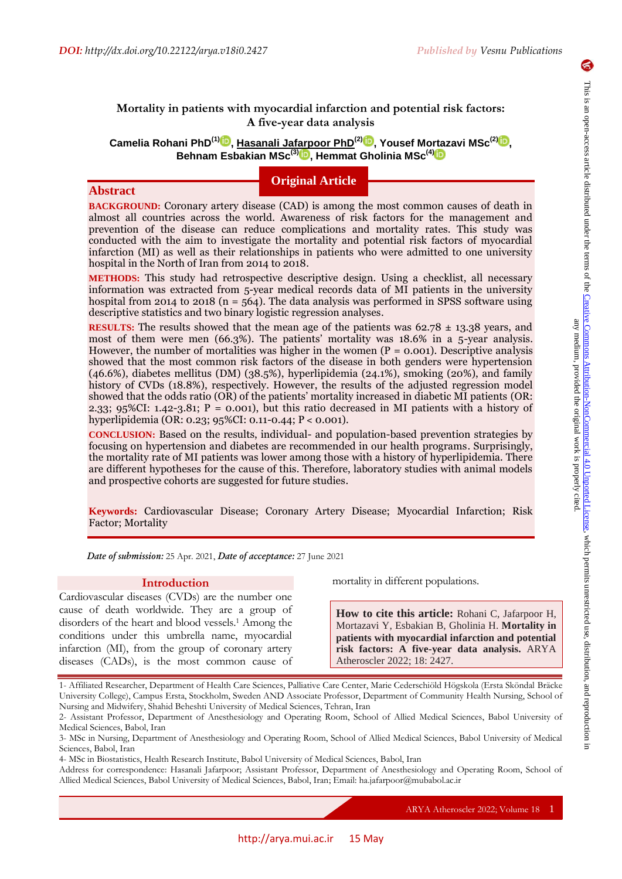**Abstract**

# **Mortality in patients with myocardial infarction and potential risk factors: A five-year data analysis**

 $\mathbf{C}$ amelia Rohani PhD $^{(1)}$  $^{(1)}$  $^{(1)}$ (D[,](https://orcid.org/0000-0002-2077-2812) <u>Hasanali Jafarpoor PhD $^{(2)}$ (D)</u>, Yousef Mortazavi MSc $^{(2)}$ (D), **Behnam Esbakian MSc(3[\)](https://orcid.org/0000-0002-5124-6161) , Hemmat Gholinia MSc(4)**

# **Original Article**

**BACKGROUND:** Coronary artery disease (CAD) is among the most common causes of death in almost all countries across the world. Awareness of risk factors for the management and prevention of the disease can reduce complications and mortality rates. This study was conducted with the aim to investigate the mortality and potential risk factors of myocardial infarction (MI) as well as their relationships in patients who were admitted to one university hospital in the North of Iran from 2014 to 2018.

**METHODS:** This study had retrospective descriptive design. Using a checklist, all necessary information was extracted from 5-year medical records data of MI patients in the university hospital from 2014 to 2018 ( $n = 564$ ). The data analysis was performed in SPSS software using descriptive statistics and two binary logistic regression analyses.

**RESULTS:** The results showed that the mean age of the patients was  $62.78 \pm 13.38$  years, and most of them were men (66.3%). The patients' mortality was 18.6% in a 5-year analysis. However, the number of mortalities was higher in the women  $(P = 0.001)$ . Descriptive analysis showed that the most common risk factors of the disease in both genders were hypertension (46.6%), diabetes mellitus (DM) (38.5%), hyperlipidemia (24.1%), smoking (20%), and family history of CVDs (18.8%), respectively. However, the results of the adjusted regression model showed that the odds ratio (OR) of the patients' mortality increased in diabetic MI patients (OR: 2.33;  $95\%$ CI: 1.42-3.81; P = 0.001), but this ratio decreased in MI patients with a history of hyperlipidemia (OR: 0.23; 95%CI: 0.11-0.44; P ˂ 0.001).

**CONCLUSION:** Based on the results, individual- and population-based prevention strategies by focusing on hypertension and diabetes are recommended in our health programs. Surprisingly, the mortality rate of MI patients was lower among those with a history of hyperlipidemia. There are different hypotheses for the cause of this. Therefore, laboratory studies with animal models and prospective cohorts are suggested for future studies.

**Keywords:** Cardiovascular Disease; Coronary Artery Disease; Myocardial Infarction; Risk Factor; Mortality

*Date of submission:* 25 Apr. 2021, *Date of acceptance:* 27 June 2021

# **Introduction**

Cardiovascular diseases (CVDs) are the number one cause of death worldwide. They are a group of disorders of the heart and blood vessels.<sup>1</sup> Among the conditions under this umbrella name, myocardial infarction (MI), from the group of coronary artery diseases (CADs), is the most common cause of

mortality in different populations.

**How to cite this article:** Rohani C, Jafarpoor H, Mortazavi Y, Esbakian B, Gholinia H. **Mortality in patients with myocardial infarction and potential risk factors: A five-year data analysis.** ARYA Atheroscler 2022; 18: 2427.

<sup>1-</sup> Affiliated Researcher, Department of Health Care Sciences, Palliative Care Center, Marie Cederschiöld Högskola (Ersta Sköndal Bräcke University College), Campus Ersta, Stockholm, Sweden AND Associate Professor, Department of Community Health Nursing, School of Nursing and Midwifery, Shahid Beheshti University of Medical Sciences, Tehran, Iran

<sup>2-</sup> Assistant Professor, Department of Anesthesiology and Operating Room, School of Allied Medical Sciences, Babol University of Medical Sciences, Babol, Iran

<sup>3-</sup> MSc in Nursing, Department of Anesthesiology and Operating Room, School of Allied Medical Sciences, Babol University of Medical Sciences, Babol, Iran

<sup>4-</sup> MSc in Biostatistics, Health Research Institute, Babol University of Medical Sciences, Babol, Iran

Address for correspondence: Hasanali Jafarpoor; Assistant Professor, Department of Anesthesiology and Operating Room, School of Allied Medical Sciences, Babol University of Medical Sciences, Babol, Iran; Email: ha.jafarpoor@mubabol.ac.ir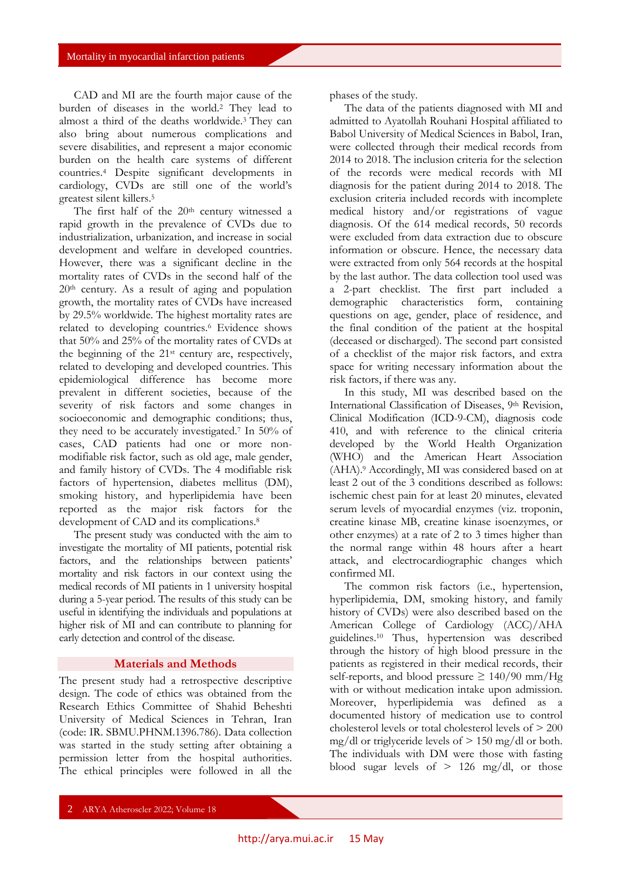CAD and MI are the fourth major cause of the burden of diseases in the world.<sup>2</sup> They lead to almost a third of the deaths worldwide.3 They can also bring about numerous complications and severe disabilities, and represent a major economic burden on the health care systems of different countries.<sup>4</sup> Despite significant developments in cardiology, CVDs are still one of the world's greatest silent killers.<sup>5</sup>

The first half of the  $20<sup>th</sup>$  century witnessed a rapid growth in the prevalence of CVDs due to industrialization, urbanization, and increase in social development and welfare in developed countries. However, there was a significant decline in the mortality rates of CVDs in the second half of the 20th century. As a result of aging and population growth, the mortality rates of CVDs have increased by 29.5% worldwide. The highest mortality rates are related to developing countries.<sup>6</sup> Evidence shows that 50% and 25% of the mortality rates of CVDs at the beginning of the 21st century are, respectively, related to developing and developed countries. This epidemiological difference has become more prevalent in different societies, because of the severity of risk factors and some changes in socioeconomic and demographic conditions; thus, they need to be accurately investigated.<sup>7</sup> In 50% of cases, CAD patients had one or more nonmodifiable risk factor, such as old age, male gender, and family history of CVDs. The 4 modifiable risk factors of hypertension, diabetes mellitus (DM), smoking history, and hyperlipidemia have been reported as the major risk factors for the development of CAD and its complications.<sup>8</sup>

The present study was conducted with the aim to investigate the mortality of MI patients, potential risk factors, and the relationships between patients' mortality and risk factors in our context using the medical records of MI patients in 1 university hospital during a 5-year period. The results of this study can be useful in identifying the individuals and populations at higher risk of MI and can contribute to planning for early detection and control of the disease.

# **Materials and Methods**

The present study had a retrospective descriptive design. The code of ethics was obtained from the Research Ethics Committee of Shahid Beheshti University of Medical Sciences in Tehran, Iran (code: IR. SBMU.PHNM.1396.786). Data collection was started in the study setting after obtaining a permission letter from the hospital authorities. The ethical principles were followed in all the

phases of the study.

The data of the patients diagnosed with MI and admitted to Ayatollah Rouhani Hospital affiliated to Babol University of Medical Sciences in Babol, Iran, were collected through their medical records from 2014 to 2018. The inclusion criteria for the selection of the records were medical records with MI diagnosis for the patient during 2014 to 2018. The exclusion criteria included records with incomplete medical history and/or registrations of vague diagnosis. Of the 614 medical records, 50 records were excluded from data extraction due to obscure information or obscure. Hence, the necessary data were extracted from only 564 records at the hospital by the last author. The data collection tool used was a 2-part checklist. The first part included a demographic characteristics form, containing questions on age, gender, place of residence, and the final condition of the patient at the hospital (deceased or discharged). The second part consisted of a checklist of the major risk factors, and extra space for writing necessary information about the risk factors, if there was any.

In this study, MI was described based on the International Classification of Diseases, 9th Revision, Clinical Modification (ICD-9-CM), diagnosis code 410, and with reference to the clinical criteria developed by the World Health Organization (WHO) and the American Heart Association (AHA).<sup>9</sup> Accordingly, MI was considered based on at least 2 out of the 3 conditions described as follows: ischemic chest pain for at least 20 minutes, elevated serum levels of myocardial enzymes (viz. troponin, creatine kinase MB, creatine kinase isoenzymes, or other enzymes) at a rate of 2 to 3 times higher than the normal range within 48 hours after a heart attack, and electrocardiographic changes which confirmed MI.

The common risk factors (i.e., hypertension, hyperlipidemia, DM, smoking history, and family history of CVDs) were also described based on the American College of Cardiology (ACC)/AHA guidelines.<sup>10</sup> Thus, hypertension was described through the history of high blood pressure in the patients as registered in their medical records, their self-reports, and blood pressure  $\geq 140/90$  mm/Hg with or without medication intake upon admission. Moreover, hyperlipidemia was defined as a documented history of medication use to control cholesterol levels or total cholesterol levels of > 200 mg/dl or triglyceride levels of  $> 150$  mg/dl or both. The individuals with DM were those with fasting blood sugar levels of  $> 126$  mg/dl, or those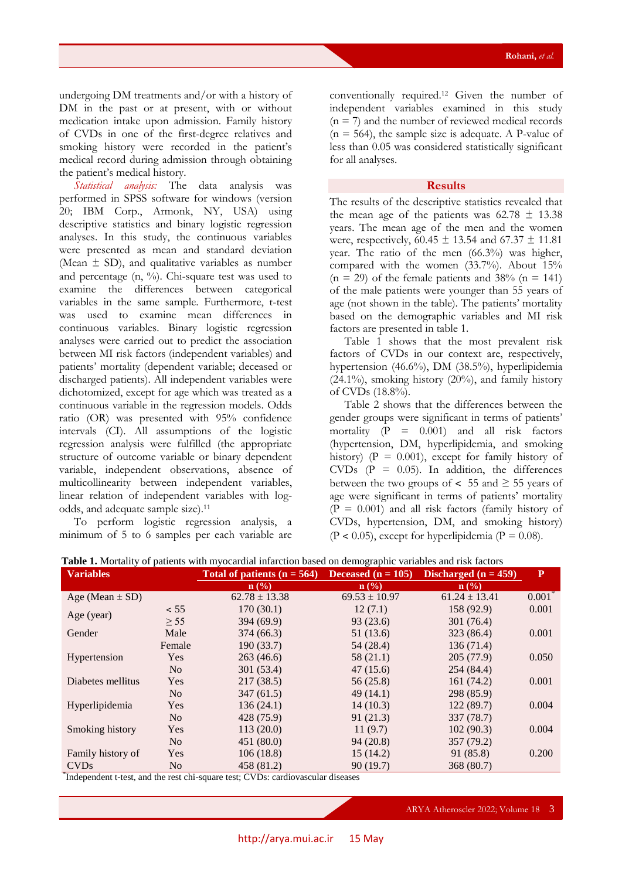undergoing DM treatments and/or with a history of DM in the past or at present, with or without medication intake upon admission. Family history of CVDs in one of the first-degree relatives and smoking history were recorded in the patient's medical record during admission through obtaining the patient's medical history.

*Statistical analysis:* The data analysis was performed in SPSS software for windows (version 20; IBM Corp., Armonk, NY, USA) using descriptive statistics and binary logistic regression analyses. In this study, the continuous variables were presented as mean and standard deviation (Mean  $\pm$  SD), and qualitative variables as number and percentage  $(n, \frac{9}{6})$ . Chi-square test was used to examine the differences between categorical variables in the same sample. Furthermore, t-test was used to examine mean differences in continuous variables. Binary logistic regression analyses were carried out to predict the association between MI risk factors (independent variables) and patients' mortality (dependent variable; deceased or discharged patients). All independent variables were dichotomized, except for age which was treated as a continuous variable in the regression models. Odds ratio (OR) was presented with 95% confidence intervals (CI). All assumptions of the logistic regression analysis were fulfilled (the appropriate structure of outcome variable or binary dependent variable, independent observations, absence of multicollinearity between independent variables, linear relation of independent variables with logodds, and adequate sample size).<sup>11</sup>

To perform logistic regression analysis, a minimum of 5 to 6 samples per each variable are conventionally required.<sup>12</sup> Given the number of independent variables examined in this study  $(n = 7)$  and the number of reviewed medical records  $(n = 564)$ , the sample size is adequate. A P-value of less than 0.05 was considered statistically significant for all analyses.

# **Results**

The results of the descriptive statistics revealed that the mean age of the patients was  $62.78 \pm 13.38$ years. The mean age of the men and the women were, respectively,  $60.45 \pm 13.54$  and  $67.37 \pm 11.81$ year. The ratio of the men (66.3%) was higher, compared with the women (33.7%). About 15%  $(n = 29)$  of the female patients and 38%  $(n = 141)$ of the male patients were younger than 55 years of age (not shown in the table). The patients' mortality based on the demographic variables and MI risk factors are presented in table 1.

Table 1 shows that the most prevalent risk factors of CVDs in our context are, respectively, hypertension (46.6%), DM (38.5%), hyperlipidemia (24.1%), smoking history (20%), and family history of CVDs (18.8%).

Table 2 shows that the differences between the gender groups were significant in terms of patients' mortality  $(P = 0.001)$  and all risk factors (hypertension, DM, hyperlipidemia, and smoking history) ( $P = 0.001$ ), except for family history of CVDs  $(P = 0.05)$ . In addition, the differences between the two groups of  $\lt$  55 and  $\ge$  55 years of age were significant in terms of patients' mortality  $(P = 0.001)$  and all risk factors (family history of CVDs, hypertension, DM, and smoking history)  $(P < 0.05)$ , except for hyperlipidemia  $(P = 0.08)$ .

| <b>Variables</b>    |                | Total of patients $(n = 564)$ | Deceased $(n = 105)$ | Discharged $(n = 459)$ | P                 |
|---------------------|----------------|-------------------------------|----------------------|------------------------|-------------------|
|                     |                | $\mathbf{n}(\%)$              | $\mathbf{n}(\%)$     | n(%)                   |                   |
| Age (Mean $\pm$ SD) |                | $62.78 \pm 13.38$             | $69.53 \pm 10.97$    | $61.24 \pm 13.41$      | $0.001^{\degree}$ |
|                     | < 55           | 170(30.1)                     | 12(7.1)              | 158 (92.9)             | 0.001             |
| Age (year)          | $\geq$ 55      | 394(69.9)                     | 93(23.6)             | 301(76.4)              |                   |
| Gender              | Male           | 374 (66.3)                    | 51 (13.6)            | 323 (86.4)             | 0.001             |
|                     | Female         | 190(33.7)                     | 54 (28.4)            | 136(71.4)              |                   |
| Hypertension        | Yes            | 263(46.6)                     | 58 (21.1)            | 205(77.9)              | 0.050             |
|                     | N <sub>o</sub> | 301 (53.4)                    | 47(15.6)             | 254 (84.4)             |                   |
| Diabetes mellitus   | Yes            | 217(38.5)                     | 56(25.8)             | 161(74.2)              | 0.001             |
|                     | N <sub>o</sub> | 347(61.5)                     | 49(14.1)             | 298 (85.9)             |                   |
| Hyperlipidemia      | Yes            | 136(24.1)                     | 14(10.3)             | 122(89.7)              | 0.004             |
|                     | N <sub>o</sub> | 428 (75.9)                    | 91(21.3)             | 337 (78.7)             |                   |
| Smoking history     | Yes            | 113(20.0)                     | 11(9.7)              | 102(90.3)              | 0.004             |
|                     | N <sub>o</sub> | 451(80.0)                     | 94(20.8)             | 357 (79.2)             |                   |
| Family history of   | Yes            | 106(18.8)                     | 15(14.2)             | 91 (85.8)              | 0.200             |
| <b>CVDs</b>         | N <sub>o</sub> | 458 (81.2)                    | 90(19.7)             | 368 (80.7)             |                   |

**Table 1.** Mortality of patients with myocardial infarction based on demographic variables and risk factors

\* Independent t-test, and the rest chi-square test; CVDs: cardiovascular diseases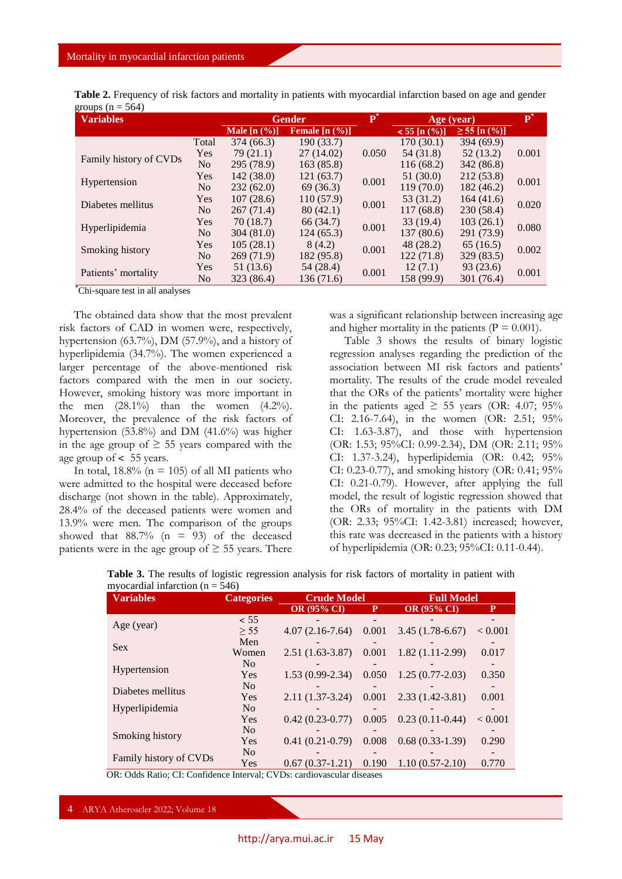| Table 2. Frequency of risk factors and mortality in patients with myocardial infarction based on age and gender |  |  |  |
|-----------------------------------------------------------------------------------------------------------------|--|--|--|
| groups ( $n = 564$ )                                                                                            |  |  |  |

| $    -$<br><b>Variables</b> |                | <b>Gender</b>  |                  | D*    | Age (year)                     |                      | $\overline{\mathbf{P}}^*$ |
|-----------------------------|----------------|----------------|------------------|-------|--------------------------------|----------------------|---------------------------|
|                             |                | Male $[n (%)]$ | Female $[n (%)]$ |       | $< 55$ [n $\left( % \right)$ ] | $\geq$ 55 [n $(\%)]$ |                           |
|                             | Total          | 374 (66.3)     | 190 (33.7)       |       | 170 (30.1)                     | 394 (69.9)           |                           |
| Family history of CVDs      | Yes            | 79(21.1)       | 27 (14.02)       | 0.050 | 54 (31.8)                      | 52(13.2)             | 0.001                     |
|                             | N <sub>o</sub> | 295 (78.9)     | 163(85.8)        |       | 116 (68.2)                     | 342 (86.8)           |                           |
| Hypertension                | Yes            | 142(38.0)      | 121(63.7)        | 0.001 | 51 (30.0)                      | 212 (53.8)           | 0.001                     |
|                             | No             | 232(62.0)      | 69(36.3)         |       | 119 (70.0)                     | 182(46.2)            |                           |
|                             | Yes            | 107(28.6)      | 110(57.9)        | 0.001 | 53 (31.2)                      | 164(41.6)            | 0.020                     |
| Diabetes mellitus           | No             | 267(71.4)      | 80(42.1)         |       | 117(68.8)                      | 230(58.4)            |                           |
|                             | Yes            | 70 (18.7)      | 66 (34.7)        | 0.001 | 33(19.4)                       | 103(26.1)            | 0.080                     |
| Hyperlipidemia              | No             | 304 (81.0)     | 124 (65.3)       |       | 137 (80.6)                     | 291 (73.9)           |                           |
|                             | Yes            | 105(28.1)      | 8(4.2)           | 0.001 | 48 (28.2)                      | 65(16.5)             | 0.002                     |
| Smoking history             | No             | 269(71.9)      | 182 (95.8)       |       | 122 (71.8)                     | 329 (83.5)           |                           |
|                             | Yes            | 51 (13.6)      | 54 (28.4)        | 0.001 | 12(7.1)                        | 93(23.6)             | 0.001                     |
| Patients' mortality         | No             | 323 (86.4)     | 136 (71.6)       |       | 158 (99.9)                     | 301 (76.4)           |                           |

\*Chi-square test in all analyses

The obtained data show that the most prevalent risk factors of CAD in women were, respectively, hypertension (63.7%), DM (57.9%), and a history of hyperlipidemia (34.7%). The women experienced a larger percentage of the above-mentioned risk factors compared with the men in our society. However, smoking history was more important in the men  $(28.1\%)$  than the women  $(4.2\%)$ . Moreover, the prevalence of the risk factors of hypertension (53.8%) and DM (41.6%) was higher in the age group of  $\geq$  55 years compared with the age group of  $\lt$  55 years.

In total,  $18.8\%$  (n = 105) of all MI patients who were admitted to the hospital were deceased before discharge (not shown in the table). Approximately, 28.4% of the deceased patients were women and 13.9% were men. The comparison of the groups showed that  $88.7\%$  (n = 93) of the deceased patients were in the age group of  $\geq$  55 years. There was a significant relationship between increasing age and higher mortality in the patients ( $P = 0.001$ ).

Table 3 shows the results of binary logistic regression analyses regarding the prediction of the association between MI risk factors and patients' mortality. The results of the crude model revealed that the ORs of the patients' mortality were higher in the patients aged  $\geq$  55 years (OR: 4.07; 95% CI: 2.16-7.64), in the women (OR: 2.51; 95% CI: 1.63-3.87), and those with hypertension (OR: 1.53; 95%CI: 0.99-2.34), DM (OR: 2.11; 95% CI: 1.37-3.24), hyperlipidemia (OR: 0.42; 95% CI: 0.23-0.77), and smoking history (OR: 0.41; 95% CI: 0.21-0.79). However, after applying the full model, the result of logistic regression showed that the ORs of mortality in the patients with DM (OR: 2.33; 95%CI: 1.42-3.81) increased; however, this rate was decreased in the patients with a history of hyperlipidemia (OR: 0.23; 95%CI: 0.11-0.44).

| <b>Variables</b>       | <b>Categories</b> | <b>Crude Model</b> |       | <b>Full Model</b>  |         |  |
|------------------------|-------------------|--------------------|-------|--------------------|---------|--|
|                        |                   | <b>OR (95% CI)</b> | P.    | <b>OR (95% CI)</b> | P       |  |
|                        | < 55              |                    |       |                    |         |  |
| Age (year)             | > 55              | $4.07(2.16-7.64)$  | 0.001 | $3.45(1.78-6.67)$  | < 0.001 |  |
|                        | Men               |                    |       |                    |         |  |
| <b>Sex</b>             | Women             | $2.51(1.63-3.87)$  | 0.001 | $1.82(1.11-2.99)$  | 0.017   |  |
|                        | No                |                    |       |                    |         |  |
| Hypertension           | Yes               | $1.53(0.99-2.34)$  | 0.050 | $1.25(0.77-2.03)$  | 0.350   |  |
|                        | No                |                    |       |                    |         |  |
| Diabetes mellitus      | Yes               | $2.11(1.37-3.24)$  | 0.001 | $2.33(1.42-3.81)$  | 0.001   |  |
| Hyperlipidemia         | No                |                    |       |                    |         |  |
|                        | Yes               | $0.42(0.23-0.77)$  | 0.005 | $0.23(0.11-0.44)$  | < 0.001 |  |
|                        | No                |                    |       |                    |         |  |
| Smoking history        | Yes               | $0.41(0.21-0.79)$  | 0.008 | $0.68(0.33-1.39)$  | 0.290   |  |
|                        | No                |                    |       |                    |         |  |
| Family history of CVDs | Yes               | $0.67(0.37-1.21)$  | 0.190 | $1.10(0.57-2.10)$  | 0.770   |  |

**Table 3.** The results of logistic regression analysis for risk factors of mortality in patient with myocardial infarction ( $n = 546$ )

OR: Odds Ratio; CI: Confidence Interval; CVDs: cardiovascular diseases

4 ARYA Atheroscler 2022; Volume 18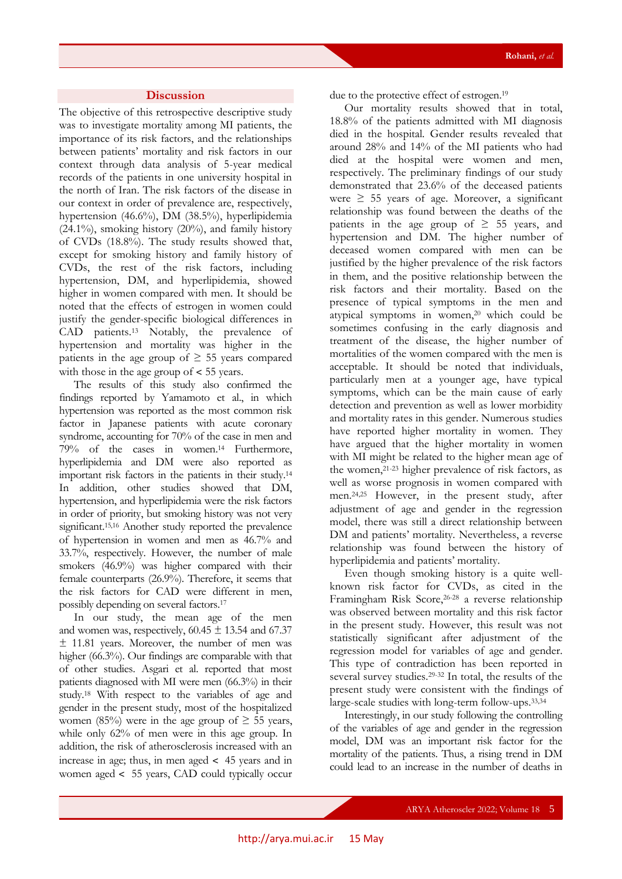# **Discussion**

The objective of this retrospective descriptive study was to investigate mortality among MI patients, the importance of its risk factors, and the relationships between patients' mortality and risk factors in our context through data analysis of 5-year medical records of the patients in one university hospital in the north of Iran. The risk factors of the disease in our context in order of prevalence are, respectively, hypertension (46.6%), DM (38.5%), hyperlipidemia (24.1%), smoking history (20%), and family history of CVDs (18.8%). The study results showed that, except for smoking history and family history of CVDs, the rest of the risk factors, including hypertension, DM, and hyperlipidemia, showed higher in women compared with men. It should be noted that the effects of estrogen in women could justify the gender-specific biological differences in CAD patients.<sup>13</sup> Notably, the prevalence of hypertension and mortality was higher in the patients in the age group of  $\geq$  55 years compared with those in the age group of  $\lt$  55 years.

The results of this study also confirmed the findings reported by Yamamoto et al., in which hypertension was reported as the most common risk factor in Japanese patients with acute coronary syndrome, accounting for 70% of the case in men and 79% of the cases in women.<sup>14</sup> Furthermore, hyperlipidemia and DM were also reported as important risk factors in the patients in their study.<sup>14</sup> In addition, other studies showed that DM, hypertension, and hyperlipidemia were the risk factors in order of priority, but smoking history was not very significant.<sup>15,16</sup> Another study reported the prevalence of hypertension in women and men as 46.7% and 33.7%, respectively. However, the number of male smokers (46.9%) was higher compared with their female counterparts (26.9%). Therefore, it seems that the risk factors for CAD were different in men, possibly depending on several factors.<sup>17</sup>

In our study, the mean age of the men and women was, respectively,  $60.45 \pm 13.54$  and  $67.37$ ± 11.81 years. Moreover, the number of men was higher (66.3%). Our findings are comparable with that of other studies. Asgari et al. reported that most patients diagnosed with MI were men (66.3%) in their study.<sup>18</sup> With respect to the variables of age and gender in the present study, most of the hospitalized women (85%) were in the age group of  $\geq$  55 years, while only 62% of men were in this age group. In addition, the risk of atherosclerosis increased with an increase in age; thus, in men aged  $\lt$  45 years and in women aged ˂ 55 years, CAD could typically occur

due to the protective effect of estrogen.<sup>19</sup>

Our mortality results showed that in total, 18.8% of the patients admitted with MI diagnosis died in the hospital. Gender results revealed that around 28% and 14% of the MI patients who had died at the hospital were women and men, respectively. The preliminary findings of our study demonstrated that 23.6% of the deceased patients were  $\geq$  55 years of age. Moreover, a significant relationship was found between the deaths of the patients in the age group of  $\geq$  55 years, and hypertension and DM. The higher number of deceased women compared with men can be justified by the higher prevalence of the risk factors in them, and the positive relationship between the risk factors and their mortality. Based on the presence of typical symptoms in the men and atypical symptoms in women,20 which could be sometimes confusing in the early diagnosis and treatment of the disease, the higher number of mortalities of the women compared with the men is acceptable. It should be noted that individuals, particularly men at a younger age, have typical symptoms, which can be the main cause of early detection and prevention as well as lower morbidity and mortality rates in this gender. Numerous studies have reported higher mortality in women. They have argued that the higher mortality in women with MI might be related to the higher mean age of the women,21-23 higher prevalence of risk factors, as well as worse prognosis in women compared with men.24,25 However, in the present study, after adjustment of age and gender in the regression model, there was still a direct relationship between DM and patients' mortality. Nevertheless, a reverse relationship was found between the history of hyperlipidemia and patients' mortality.

Even though smoking history is a quite wellknown risk factor for CVDs, as cited in the Framingham Risk Score,<sup>26-28</sup> a reverse relationship was observed between mortality and this risk factor in the present study. However, this result was not statistically significant after adjustment of the regression model for variables of age and gender. This type of contradiction has been reported in several survey studies.29-32 In total, the results of the present study were consistent with the findings of large-scale studies with long-term follow-ups.33,34

Interestingly, in our study following the controlling of the variables of age and gender in the regression model, DM was an important risk factor for the mortality of the patients. Thus, a rising trend in DM could lead to an increase in the number of deaths in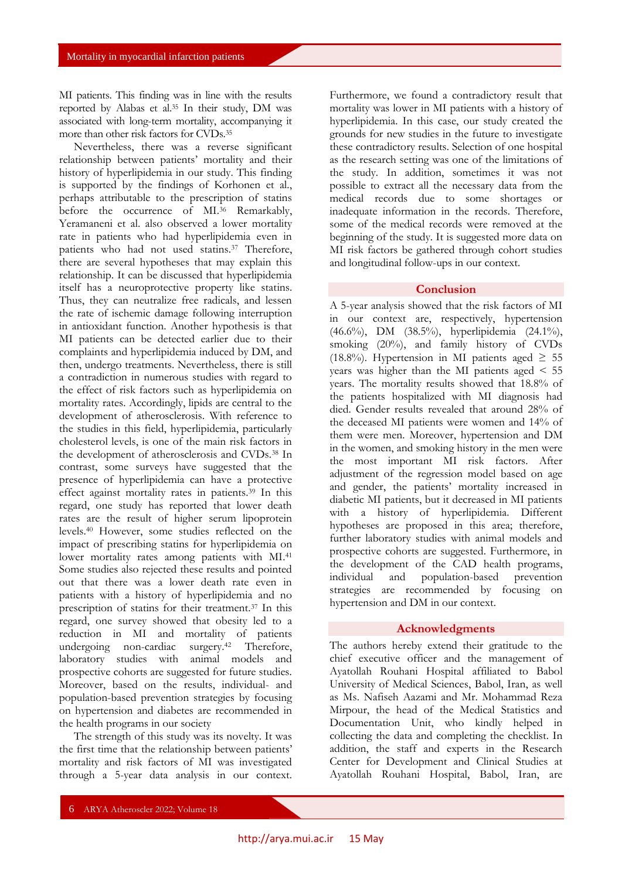MI patients. This finding was in line with the results reported by Alabas et al.<sup>35</sup> In their study, DM was associated with long-term mortality, accompanying it more than other risk factors for CVDs.<sup>35</sup>

Nevertheless, there was a reverse significant relationship between patients' mortality and their history of hyperlipidemia in our study. This finding is supported by the findings of Korhonen et al., perhaps attributable to the prescription of statins before the occurrence of MI.<sup>36</sup> Remarkably, Yeramaneni et al. also observed a lower mortality rate in patients who had hyperlipidemia even in patients who had not used statins.<sup>37</sup> Therefore, there are several hypotheses that may explain this relationship. It can be discussed that hyperlipidemia itself has a neuroprotective property like statins. Thus, they can neutralize free radicals, and lessen the rate of ischemic damage following interruption in antioxidant function. Another hypothesis is that MI patients can be detected earlier due to their complaints and hyperlipidemia induced by DM, and then, undergo treatments. Nevertheless, there is still a contradiction in numerous studies with regard to the effect of risk factors such as hyperlipidemia on mortality rates. Accordingly, lipids are central to the development of atherosclerosis. With reference to the studies in this field, hyperlipidemia, particularly cholesterol levels, is one of the main risk factors in the development of atherosclerosis and CVDs.<sup>38</sup> In contrast, some surveys have suggested that the presence of hyperlipidemia can have a protective effect against mortality rates in patients.<sup>39</sup> In this regard, one study has reported that lower death rates are the result of higher serum lipoprotein levels.<sup>40</sup> However, some studies reflected on the impact of prescribing statins for hyperlipidemia on lower mortality rates among patients with MI.<sup>41</sup> Some studies also rejected these results and pointed out that there was a lower death rate even in patients with a history of hyperlipidemia and no prescription of statins for their treatment.<sup>37</sup> In this regard, one survey showed that obesity led to a reduction in MI and mortality of patients undergoing non-cardiac surgery. <sup>42</sup> Therefore, laboratory studies with animal models and prospective cohorts are suggested for future studies. Moreover, based on the results, individual- and population-based prevention strategies by focusing on hypertension and diabetes are recommended in the health programs in our society

The strength of this study was its novelty. It was the first time that the relationship between patients' mortality and risk factors of MI was investigated through a 5-year data analysis in our context.

Furthermore, we found a contradictory result that mortality was lower in MI patients with a history of hyperlipidemia. In this case, our study created the grounds for new studies in the future to investigate these contradictory results. Selection of one hospital as the research setting was one of the limitations of the study. In addition, sometimes it was not possible to extract all the necessary data from the medical records due to some shortages or inadequate information in the records. Therefore, some of the medical records were removed at the beginning of the study. It is suggested more data on MI risk factors be gathered through cohort studies and longitudinal follow-ups in our context.

#### **Conclusion**

A 5-year analysis showed that the risk factors of MI in our context are, respectively, hypertension (46.6%), DM (38.5%), hyperlipidemia (24.1%), smoking (20%), and family history of CVDs (18.8%). Hypertension in MI patients aged  $\geq$  55 years was higher than the MI patients aged < 55 years. The mortality results showed that 18.8% of the patients hospitalized with MI diagnosis had died. Gender results revealed that around 28% of the deceased MI patients were women and 14% of them were men. Moreover, hypertension and DM in the women, and smoking history in the men were the most important MI risk factors. After adjustment of the regression model based on age and gender, the patients' mortality increased in diabetic MI patients, but it decreased in MI patients with a history of hyperlipidemia. Different hypotheses are proposed in this area; therefore, further laboratory studies with animal models and prospective cohorts are suggested. Furthermore, in the development of the CAD health programs, individual and population-based prevention strategies are recommended by focusing on hypertension and DM in our context.

# **Acknowledgments**

The authors hereby extend their gratitude to the chief executive officer and the management of Ayatollah Rouhani Hospital affiliated to Babol University of Medical Sciences, Babol, Iran, as well as Ms. Nafiseh Aazami and Mr. Mohammad Reza Mirpour, the head of the Medical Statistics and Documentation Unit, who kindly helped in collecting the data and completing the checklist. In addition, the staff and experts in the Research Center for Development and Clinical Studies at Ayatollah Rouhani Hospital, Babol, Iran, are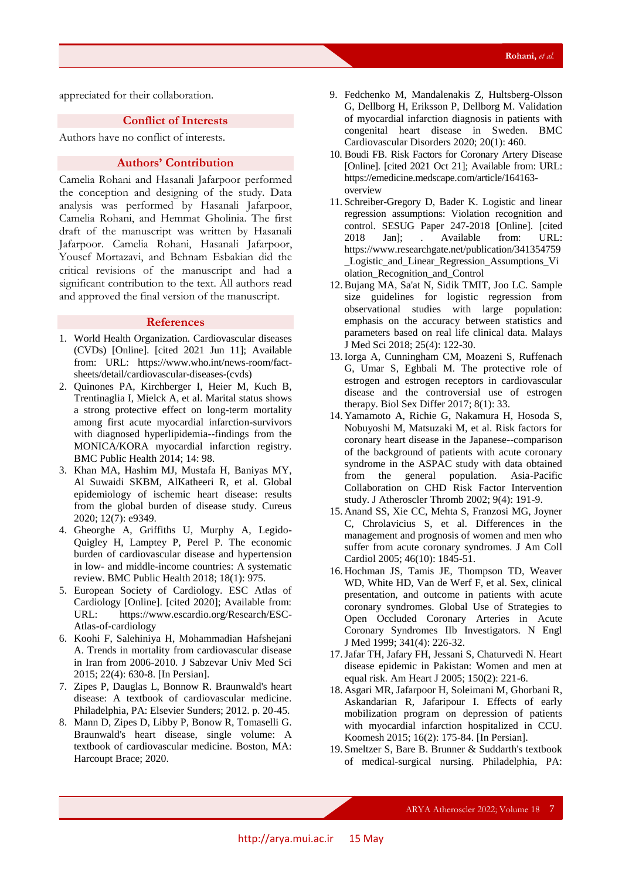appreciated for their collaboration.

# **Conflict of Interests**

Authors have no conflict of interests.

# **Authors' Contribution**

Camelia Rohani and Hasanali Jafarpoor performed the conception and designing of the study. Data analysis was performed by Hasanali Jafarpoor, Camelia Rohani, and Hemmat Gholinia. The first draft of the manuscript was written by Hasanali Jafarpoor. Camelia Rohani, Hasanali Jafarpoor, Yousef Mortazavi, and Behnam Esbakian did the critical revisions of the manuscript and had a significant contribution to the text. All authors read and approved the final version of the manuscript.

# **References**

- 1. World Health Organization. Cardiovascular diseases (CVDs) [Online]. [cited 2021 Jun 11]; Available from: URL: https://www.who.int/news-room/factsheets/detail/cardiovascular-diseases-(cvds)
- 2. Quinones PA, Kirchberger I, Heier M, Kuch B, Trentinaglia I, Mielck A, et al. Marital status shows a strong protective effect on long-term mortality among first acute myocardial infarction-survivors with diagnosed hyperlipidemia--findings from the MONICA/KORA myocardial infarction registry. BMC Public Health 2014; 14: 98.
- 3. Khan MA, Hashim MJ, Mustafa H, Baniyas MY, Al Suwaidi SKBM, AlKatheeri R, et al. Global epidemiology of ischemic heart disease: results from the global burden of disease study. Cureus 2020; 12(7): e9349.
- 4. Gheorghe A, Griffiths U, Murphy A, Legido-Quigley H, Lamptey P, Perel P. The economic burden of cardiovascular disease and hypertension in low- and middle-income countries: A systematic review. BMC Public Health 2018; 18(1): 975.
- 5. European Society of Cardiology. ESC Atlas of Cardiology [Online]. [cited 2020]; Available from: URL: https://www.escardio.org/Research/ESC-Atlas-of-cardiology
- 6. Koohi F, Salehiniya H, Mohammadian Hafshejani A. Trends in mortality from cardiovascular disease in Iran from 2006-2010. J Sabzevar Univ Med Sci 2015; 22(4): 630-8. [In Persian].
- 7. Zipes P, Dauglas L, Bonnow R. Braunwald's heart disease: A textbook of cardiovascular medicine. Philadelphia, PA: Elsevier Sunders; 2012. p. 20-45.
- 8. Mann D, Zipes D, Libby P, Bonow R, Tomaselli G. Braunwald's heart disease, single volume: A textbook of cardiovascular medicine. Boston, MA: Harcoupt Brace; 2020.
- 9. Fedchenko M, Mandalenakis Z, Hultsberg-Olsson G, Dellborg H, Eriksson P, Dellborg M. Validation of myocardial infarction diagnosis in patients with congenital heart disease in Sweden. BMC Cardiovascular Disorders 2020; 20(1): 460.
- 10. Boudi FB. Risk Factors for Coronary Artery Disease [Online]. [cited 2021 Oct 21]; Available from: URL: https://emedicine.medscape.com/article/164163 overview
- 11. Schreiber-Gregory D, Bader K. Logistic and linear regression assumptions: Violation recognition and control. SESUG Paper 247-2018 [Online]. [cited 2018 Jan]; . Available from: URL: https://www.researchgate.net/publication/341354759 \_Logistic\_and\_Linear\_Regression\_Assumptions\_Vi olation\_Recognition\_and\_Control
- 12.Bujang MA, Sa'at N, Sidik TMIT, Joo LC. Sample size guidelines for logistic regression from observational studies with large population: emphasis on the accuracy between statistics and parameters based on real life clinical data. Malays J Med Sci 2018; 25(4): 122-30.
- 13.Iorga A, Cunningham CM, Moazeni S, Ruffenach G, Umar S, Eghbali M. The protective role of estrogen and estrogen receptors in cardiovascular disease and the controversial use of estrogen therapy. Biol Sex Differ 2017; 8(1): 33.
- 14. Yamamoto A, Richie G, Nakamura H, Hosoda S, Nobuyoshi M, Matsuzaki M, et al. Risk factors for coronary heart disease in the Japanese--comparison of the background of patients with acute coronary syndrome in the ASPAC study with data obtained from the general population. Asia-Pacific Collaboration on CHD Risk Factor Intervention study. J Atheroscler Thromb 2002; 9(4): 191-9.
- 15. Anand SS, Xie CC, Mehta S, Franzosi MG, Joyner C, Chrolavicius S, et al. Differences in the management and prognosis of women and men who suffer from acute coronary syndromes. J Am Coll Cardiol 2005; 46(10): 1845-51.
- 16. Hochman JS, Tamis JE, Thompson TD, Weaver WD, White HD, Van de Werf F, et al. Sex, clinical presentation, and outcome in patients with acute coronary syndromes. Global Use of Strategies to Open Occluded Coronary Arteries in Acute Coronary Syndromes IIb Investigators. N Engl J Med 1999; 341(4): 226-32.
- 17.Jafar TH, Jafary FH, Jessani S, Chaturvedi N. Heart disease epidemic in Pakistan: Women and men at equal risk. Am Heart J 2005; 150(2): 221-6.
- 18. Asgari MR, Jafarpoor H, Soleimani M, Ghorbani R, Askandarian R, Jafaripour I. Effects of early mobilization program on depression of patients with myocardial infarction hospitalized in CCU. Koomesh 2015; 16(2): 175-84. [In Persian].
- 19. Smeltzer S, Bare B. Brunner & Suddarth's textbook of medical-surgical nursing. Philadelphia, PA: